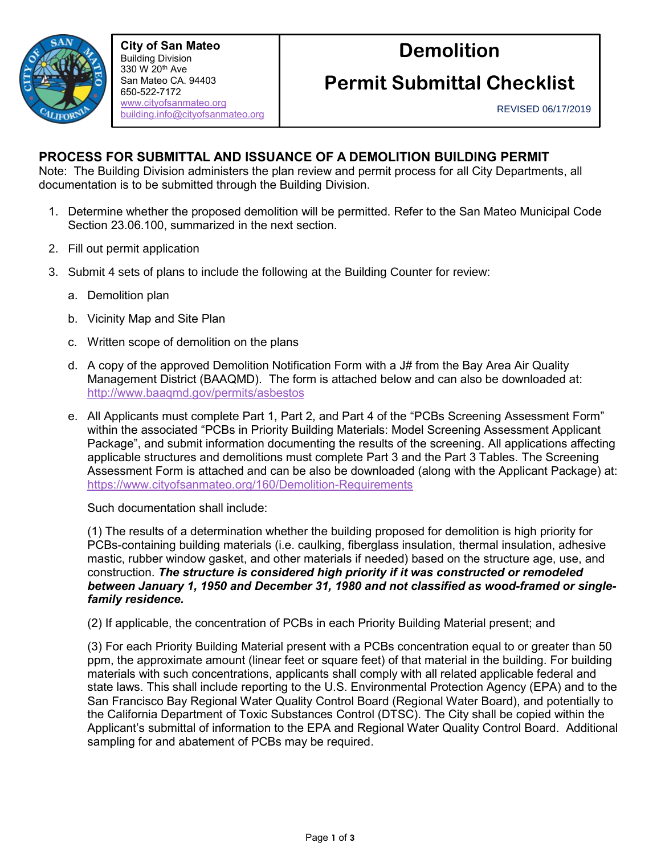

**City of San Mateo** Building Division 330 W 20th Ave San Mateo CA. 94403 650-522-7172 [www.cityofsanmateo.org](http://www.cityofsanmateo.org/) [building.info@cityofsanmateo.org](mailto:building.info@cityofsanmateo.org)

# **Demolition**

# **Permit Submittal Checklist**

## <sup>650</sup> **PROCESS FOR SUBMITTAL AND ISSUANCE OF A DEMOLITION BUILDING PERMIT**

Note: The Building Division administers the plan review and permit process for all City Departments, all documentation is to be submitted through the Building Division.

- 1. Determine whether the proposed demolition will be permitted. Refer to the San Mateo Municipal Code Section 23.06.100, summarized in the next section.
- 2. Fill out permit application
- 3. Submit 4 sets of plans to include the following at the Building Counter for review:
	- a. Demolition plan
	- b. Vicinity Map and Site Plan
	- c. Written scope of demolition on the plans
	- d. A copy of the approved [Demolition Notification Form](file://///smfile02/depts/CDD/Building/1A%20-%20HANDOUTS%20+%20FORMS/RELEASED/BAAQMD%20DEMOLITION%20NOTIFICATION%20Form%20v%201.0.docx) with a J# from the Bay Area Air Quality Management District (BAAQMD). The form is attached below and can also be downloaded at: <http://www.baaqmd.gov/permits/asbestos>
	- e. All Applicants must complete Part 1, Part 2, and Part 4 of the "PCBs Screening Assessment Form" within the associated "PCBs in Priority Building Materials: Model Screening Assessment Applicant Package", and submit information documenting the results of the screening. All applications affecting applicable structures and demolitions must complete Part 3 and the Part 3 Tables. The Screening Assessment Form is attached and can be also be downloaded (along with the Applicant Package) at: <https://www.cityofsanmateo.org/160/Demolition-Requirements>

Such documentation shall include:

(1) The results of a determination whether the building proposed for demolition is high priority for PCBs-containing building materials (i.e. caulking, fiberglass insulation, thermal insulation, adhesive mastic, rubber window gasket, and other materials if needed) based on the structure age, use, and construction. *The structure is considered high priority if it was constructed or remodeled between January 1, 1950 and December 31, 1980 and not classified as wood-framed or singlefamily residence.*

(2) If applicable, the concentration of PCBs in each Priority Building Material present; and

(3) For each Priority Building Material present with a PCBs concentration equal to or greater than 50 ppm, the approximate amount (linear feet or square feet) of that material in the building. For building materials with such concentrations, applicants shall comply with all related applicable federal and state laws. This shall include reporting to the U.S. Environmental Protection Agency (EPA) and to the San Francisco Bay Regional Water Quality Control Board (Regional Water Board), and potentially to the California Department of Toxic Substances Control (DTSC). The City shall be copied within the Applicant's submittal of information to the EPA and Regional Water Quality Control Board. Additional sampling for and abatement of PCBs may be required.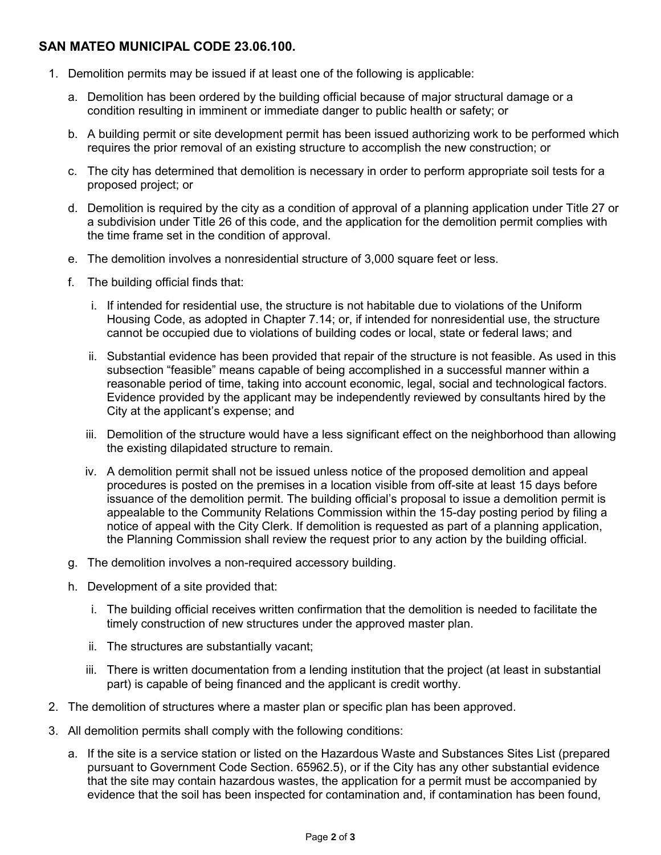### **SAN MATEO MUNICIPAL CODE 23.06.100.**

- 1. Demolition permits may be issued if at least one of the following is applicable:
	- a. Demolition has been ordered by the building official because of major structural damage or a condition resulting in imminent or immediate danger to public health or safety; or
	- b. A building permit or site development permit has been issued authorizing work to be performed which requires the prior removal of an existing structure to accomplish the new construction; or
	- c. The city has determined that demolition is necessary in order to perform appropriate soil tests for a proposed project; or
	- d. Demolition is required by the city as a condition of approval of a planning application under Title 27 or a subdivision under Title 26 of this code, and the application for the demolition permit complies with the time frame set in the condition of approval.
	- e. The demolition involves a nonresidential structure of 3,000 square feet or less.
	- f. The building official finds that:
		- i. If intended for residential use, the structure is not habitable due to violations of the Uniform Housing Code, as adopted in Chapter 7.14; or, if intended for nonresidential use, the structure cannot be occupied due to violations of building codes or local, state or federal laws; and
		- ii. Substantial evidence has been provided that repair of the structure is not feasible. As used in this subsection "feasible" means capable of being accomplished in a successful manner within a reasonable period of time, taking into account economic, legal, social and technological factors. Evidence provided by the applicant may be independently reviewed by consultants hired by the City at the applicant's expense; and
		- iii. Demolition of the structure would have a less significant effect on the neighborhood than allowing the existing dilapidated structure to remain.
		- iv. A demolition permit shall not be issued unless notice of the proposed demolition and appeal procedures is posted on the premises in a location visible from off-site at least 15 days before issuance of the demolition permit. The building official's proposal to issue a demolition permit is appealable to the Community Relations Commission within the 15-day posting period by filing a notice of appeal with the City Clerk. If demolition is requested as part of a planning application, the Planning Commission shall review the request prior to any action by the building official.
	- g. The demolition involves a non-required accessory building.
	- h. Development of a site provided that:
		- i. The building official receives written confirmation that the demolition is needed to facilitate the timely construction of new structures under the approved master plan.
		- ii. The structures are substantially vacant;
		- iii. There is written documentation from a lending institution that the project (at least in substantial part) is capable of being financed and the applicant is credit worthy.
- 2. The demolition of structures where a master plan or specific plan has been approved.
- 3. All demolition permits shall comply with the following conditions:
	- a. If the site is a service station or listed on the Hazardous Waste and Substances Sites List (prepared pursuant to Government Code Section. 65962.5), or if the City has any other substantial evidence that the site may contain hazardous wastes, the application for a permit must be accompanied by evidence that the soil has been inspected for contamination and, if contamination has been found,